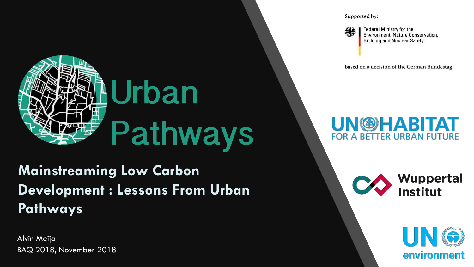

### **Mainstreaming Low Carbon Development : Lessons From Urban Pathways**

Alvin Meija BAQ 2018, November 2018 Supported by:



Federal Ministry for the Environment, Nature Conservation, **Building and Nuclear Safety** 

based on a decision of the German Bundestag

### **UN@HABITAT FOR A BETTER URBAN FUTURE**

**Wuppertal Institut** 

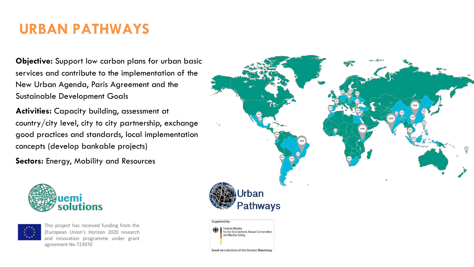# **20+ partner cities URBAN PATHWAYS**

**Objective:** Support low carbon plans for urban basic services and contribute to the implementation of the New Urban Agenda, Paris Agreement and the Sustainable Development Goals

**Activities:** Capacity building, assessment at country/city level, city to city partnership, exchange good practices and standards, local implementation concepts (develop bankable projects)

**Sectors:** Energy, Mobility and Resources





This project has received funding from the [European Union's Horizon 2020 research and innovation programme under grant agreement No 723970



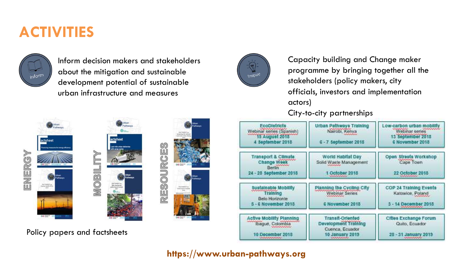### **ACTIVITIES**



Inform decision makers and stakeholders about the mitigation and sustainable development potential of sustainable urban infrastructure and measures



Capacity building and Change maker programme by bringing together all the stakeholders (policy makers, city officials, investors and implementation actors) City-to-city partnerships



Policy papers and factsheets

| <b>EcoDiatricts</b><br>Webinar series (Spanish)<br>15 August 2018<br>4 September 2018                                                                                                                                                                                                                                                   | <b>Urban Pathways Training</b><br>Nairobi, Kenya<br>6 - 7 September 2018                               | Low-carbon urban mobility<br>Webinar series<br>13 September 2018<br>6 November 2018                |
|-----------------------------------------------------------------------------------------------------------------------------------------------------------------------------------------------------------------------------------------------------------------------------------------------------------------------------------------|--------------------------------------------------------------------------------------------------------|----------------------------------------------------------------------------------------------------|
| <b>Transport &amp; Climate</b><br>Change Week<br>24 - 28 September 2018                                                                                                                                                                                                                                                                 | World Habitat Day<br>Solid Waste Management<br>1 October 2018<br>what what what what                   | Open Streets Workshop<br>Cape Town<br>22 October 2018<br><b>WANNAMAR</b>                           |
| <b>Sustainable Mobility</b><br><b>Training</b><br>Belo Horizonte<br>5 - 6 November 2018                                                                                                                                                                                                                                                 | <b>Planning the Cycling City</b><br><b>Webinar Series</b><br>6 November 2018                           | COP 24 Training Events<br>Katowice, Poland<br>3 - 14 December 2018                                 |
| <b>Active Mobility Planning</b><br>Ibagué, Colombia<br>10 December 2018<br><b><i><u><i><u>Chandra Candra Candra Candra Candra Candra Candra Candra Candra Candra Candra Candra Candra Candra Candra Candra Candra Candra Candra Candra Candra Candra Candra Candra Candra Candra Candra Candra Candra Candra Candra</u></i></u></i></b> | <b>Transit-Oriented</b><br><b>Development Training</b><br>Cuenca, Ecuador<br>10 January 2019<br>uuunna | Cities Exchange Forum<br>Quito, Ecuador<br>28 - 31 January 2019<br><b><i><u>UNIVERSITY</u></i></b> |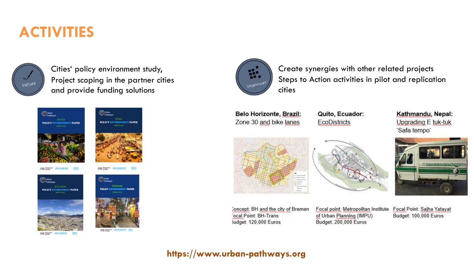### **ACTIVITIES**



Cities' policy environment study, Project scoping in the partner cities and provide funding solutions





OO THERE'S LIVESWARTH



**CO THEFT INTERNATION CDI-**



OO ZEEP UNITIARITAT UNIT



Create synergies with other related projects Steps to Action activities in pilot and replication cities

Belo Horizonte, Brazil: Zone 30 and bike lanes

Quito, Ecuador: **EcoDistricts** 



Concept: BH and the city of Bremen ocal Point: BH-Trans **Judget: 120,000 Euros** 



Focal point: Metropolitan Institute of Urban Planning (IMPU) Budget: 200,000 Euros

Focal Point: Sajha Yatayat Budget: 100,000 Euros

Kathmandu, Nepal:

Upgrading E tuk-tuk

'Safa tempo'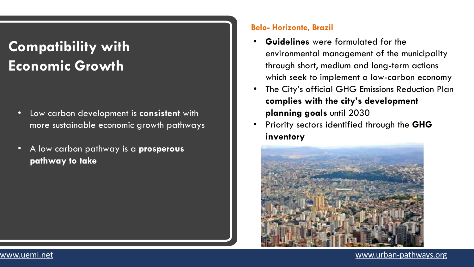### **Compatibility with Economic Growth**

- Low carbon development is **consistent** with more sustainable economic growth pathways
- A low carbon pathway is a **prosperous pathway to take**

#### **Belo- Horizonte, Brazil**

- **Guidelines** were formulated for the environmental management of the municipality through short, medium and long-term actions which seek to implement a low-carbon economy
- The City's official GHG Emissions Reduction Plan **complies with the city's development planning goals** until 2030
- Priority sectors identified through the **GHG inventory**

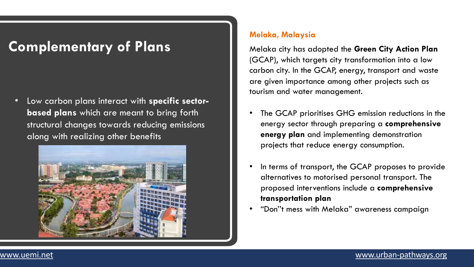### **Complementary of Plans**

• Low carbon plans interact with **specific sectorbased plans** which are meant to bring forth structural changes towards reducing emissions along with realizing other benefits



#### **Melaka, Malaysia**

Melaka city has adopted the **Green City Action Plan**  (GCAP), which targets city transformation into a low carbon city. In the GCAP, energy, transport and waste are given importance among other projects such as tourism and water management.

- The GCAP prioritises GHG emission reductions in the energy sector through preparing a **comprehensive energy plan** and implementing demonstration projects that reduce energy consumption.
- In terms of transport, the GCAP proposes to provide alternatives to motorised personal transport. The proposed interventions include a **comprehensive transportation plan**
- "Don''t mess with Melaka" awareness campaign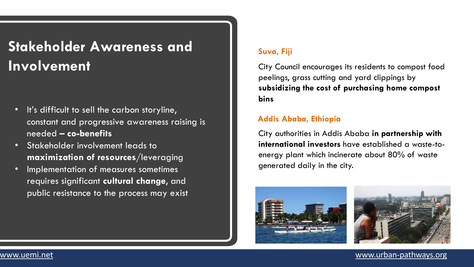### **Stakeholder Awareness and Involvement**

- It's difficult to sell the carbon storyline, constant and progressive awareness raising is needed **– co-benefits**
- Stakeholder involvement leads to **maximization of resources**/leveraging
- Implementation of measures sometimes requires significant **cultural change**, and public resistance to the process may exist

#### **Suva, Fiji**

City Council encourages its residents to compost food peelings, grass cutting and yard clippings by **subsidizing the cost of purchasing home compost bins**

#### **Addis Ababa, Ethiopia**

City authorities in Addis Ababa **in partnership with international investors** have established a waste-toenergy plant which incinerate about 80% of waste generated daily in the city.



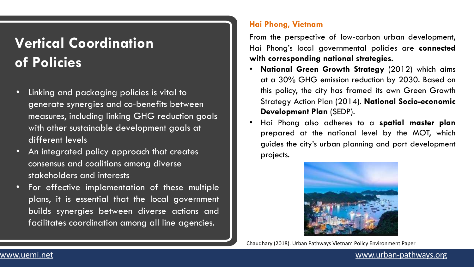### **Vertical Coordination of Policies**

- Linking and packaging policies is vital to generate synergies and co-benefits between measures, including linking GHG reduction goals with other sustainable development goals at different levels
- An integrated policy approach that creates consensus and coalitions among diverse stakeholders and interests
- For effective implementation of these multiple plans, it is essential that the local government builds synergies between diverse actions and facilitates coordination among all line agencies.

#### **Hai Phong, Vietnam**

From the perspective of low-carbon urban development, Hai Phong's local governmental policies are **connected with corresponding national strategies.**

- **National Green Growth Strategy** (2012) which aims at a 30% GHG emission reduction by 2030. Based on this policy, the city has framed its own Green Growth Strategy Action Plan (2014). **National Socio-economic Development Plan** (SEDP).
- Hai Phong also adheres to a **spatial master plan** prepared at the national level by the MOT, which guides the city's urban planning and port development projects.



Chaudhary (2018). Urban Pathways Vietnam Policy Environment Paper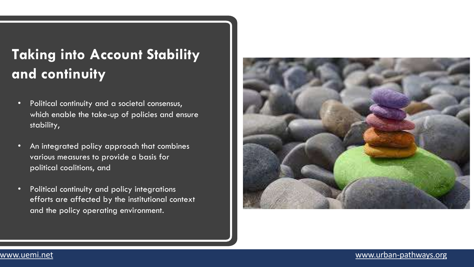### **Taking into Account Stability and continuity**

- Political continuity and a societal consensus, which enable the take-up of policies and ensure stability,
- An integrated policy approach that combines various measures to provide a basis for political coalitions, and
- Political continuity and policy integrations efforts are affected by the institutional context and the policy operating environment.

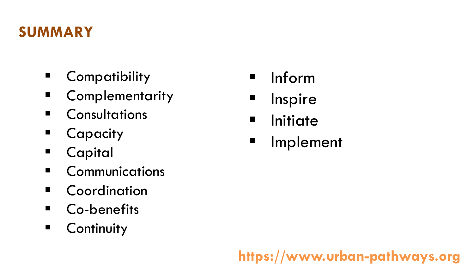### **SUMMARY**

- Compatibility
- Complementarity
- Consultations
- Capacity
- § Capital
- § Communications
- Coordination
- Co-benefits
- Continuity
- § Inform
- Inspire
- Initiate
- § Implement